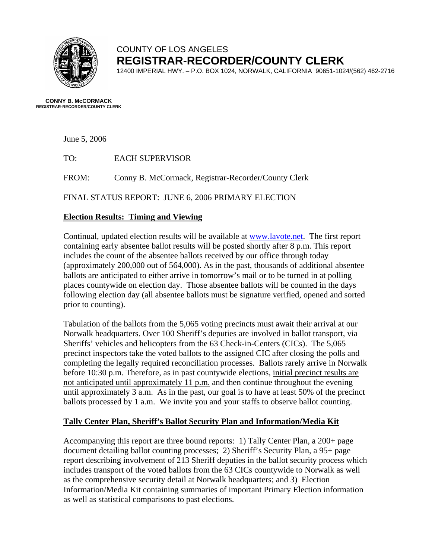

## COUNTY OF LOS ANGELES **REGISTRAR-RECORDER/COUNTY CLERK**

12400 IMPERIAL HWY. – P.O. BOX 1024, NORWALK, CALIFORNIA 90651-1024/(562) 462-2716

**CONNY B. McCORMACK REGISTRAR-RECORDER/COUNTY CLERK** 

June 5, 2006

TO: EACH SUPERVISOR

FROM: Conny B. McCormack, Registrar-Recorder/County Clerk

FINAL STATUS REPORT: JUNE 6, 2006 PRIMARY ELECTION

### **Election Results: Timing and Viewing**

Continual, updated election results will be available at [www.lavote.net.](http://www.lavote.net/) The first report containing early absentee ballot results will be posted shortly after 8 p.m. This report includes the count of the absentee ballots received by our office through today (approximately 200,000 out of 564,000). As in the past, thousands of additional absentee ballots are anticipated to either arrive in tomorrow's mail or to be turned in at polling places countywide on election day. Those absentee ballots will be counted in the days following election day (all absentee ballots must be signature verified, opened and sorted prior to counting).

Tabulation of the ballots from the 5,065 voting precincts must await their arrival at our Norwalk headquarters. Over 100 Sheriff's deputies are involved in ballot transport, via Sheriffs' vehicles and helicopters from the 63 Check-in-Centers (CICs). The 5,065 precinct inspectors take the voted ballots to the assigned CIC after closing the polls and completing the legally required reconciliation processes. Ballots rarely arrive in Norwalk before 10:30 p.m. Therefore, as in past countywide elections, initial precinct results are not anticipated until approximately 11 p.m. and then continue throughout the evening until approximately 3 a.m. As in the past, our goal is to have at least 50% of the precinct ballots processed by 1 a.m. We invite you and your staffs to observe ballot counting.

### **Tally Center Plan, Sheriff's Ballot Security Plan and Information/Media Kit**

Accompanying this report are three bound reports: 1) Tally Center Plan, a 200+ page document detailing ballot counting processes; 2) Sheriff's Security Plan, a 95+ page report describing involvement of 213 Sheriff deputies in the ballot security process which includes transport of the voted ballots from the 63 CICs countywide to Norwalk as well as the comprehensive security detail at Norwalk headquarters; and 3) Election Information/Media Kit containing summaries of important Primary Election information as well as statistical comparisons to past elections.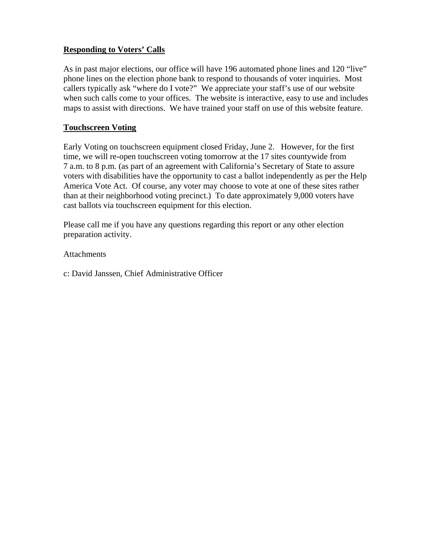## **Responding to Voters' Calls**

As in past major elections, our office will have 196 automated phone lines and 120 "live" phone lines on the election phone bank to respond to thousands of voter inquiries. Most callers typically ask "where do I vote?" We appreciate your staff's use of our website when such calls come to your offices. The website is interactive, easy to use and includes maps to assist with directions. We have trained your staff on use of this website feature.

## **Touchscreen Voting**

Early Voting on touchscreen equipment closed Friday, June 2. However, for the first time, we will re-open touchscreen voting tomorrow at the 17 sites countywide from 7 a.m. to 8 p.m. (as part of an agreement with California's Secretary of State to assure voters with disabilities have the opportunity to cast a ballot independently as per the Help America Vote Act. Of course, any voter may choose to vote at one of these sites rather than at their neighborhood voting precinct.) To date approximately 9,000 voters have cast ballots via touchscreen equipment for this election.

Please call me if you have any questions regarding this report or any other election preparation activity.

### **Attachments**

c: David Janssen, Chief Administrative Officer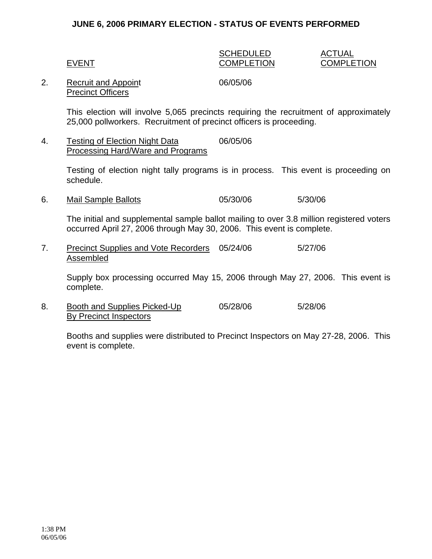### **JUNE 6, 2006 PRIMARY ELECTION - STATUS OF EVENTS PERFORMED**

### SCHEDULED ACTUAL EVENT COMPLETION COMPLETION

### 2. Recruit and Appoint 06/05/06 Precinct Officers

This election will involve 5,065 precincts requiring the recruitment of approximately 25,000 pollworkers. Recruitment of precinct officers is proceeding.

### 4. Testing of Election Night Data 06/05/06 Processing Hard/Ware and Programs

Testing of election night tally programs is in process. This event is proceeding on schedule.

6. Mail Sample Ballots 05/30/06 5/30/06

The initial and supplemental sample ballot mailing to over 3.8 million registered voters occurred April 27, 2006 through May 30, 2006. This event is complete.

7. Precinct Supplies and Vote Recorders 05/24/06 5/27/06 Assembled

Supply box processing occurred May 15, 2006 through May 27, 2006. This event is complete.

8. Booth and Supplies Picked-Up 05/28/06 5/28/06 By Precinct Inspectors

Booths and supplies were distributed to Precinct Inspectors on May 27-28, 2006. This event is complete.